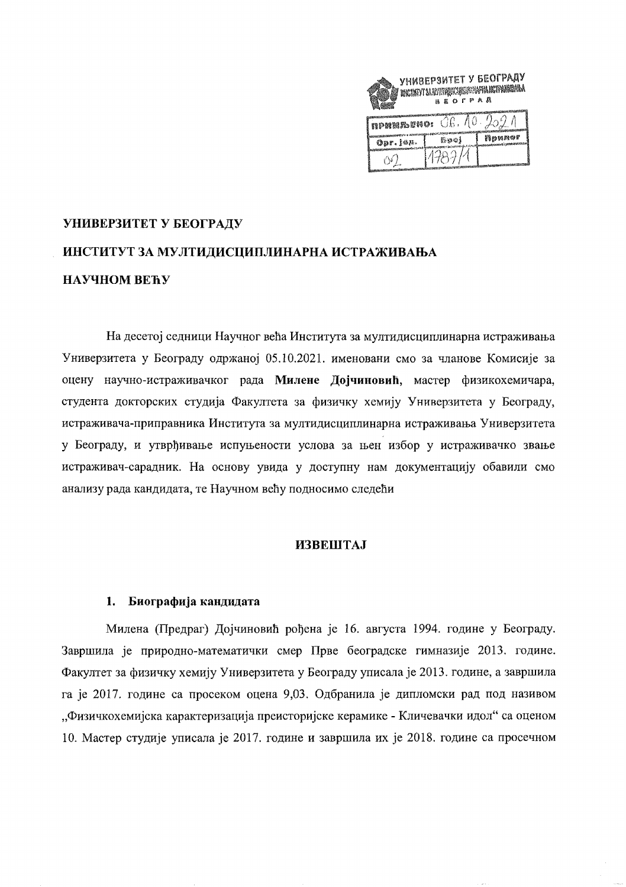|                                           | УНИВЕРЗИТЕТ У БЕОГРАДУ<br>HACINTY 34 SATISFACHUSE SAN HANDI REGINA<br>BEOFPAR |        |
|-------------------------------------------|-------------------------------------------------------------------------------|--------|
| <b>npharbeno:</b> $\bigcirc$ G. 10. 209 1 |                                                                               |        |
| Opr. 168.                                 | 節如烟                                                                           | npunor |
|                                           | 14384                                                                         |        |

# УНИВЕРЗИТЕТ У БЕОГРАДУ ИНСТИТУТ ЗА МУЛТИДИСЦИПЛИНАРНА ИСТРАЖИВАЊА НАУЧНОМ ВЕЋУ

На десетој седници Научног већа Института за мултидисциплинарна истраживања Универзитета у Београду одржаној 05.10.2021. именовани смо за чланове Комисије за оцену научно-истраживачког рада Милене Дојчиновић, мастер физикохемичара, студента докторских студија Факултета за физичку хемију Универзитета у Београду, истраживача-приправника Института за мултидисциплинарна истраживања Универзитета у Београду, и утврђивање испуњености услова за њен избор у истраживачко звање истраживач-сарадник. На основу увида у доступну нам документацију обавили смо анализу рада кандидата, те Научном већу подносимо следећи

## **ИЗВЕШТАЈ**

## 1. Биографија кандидата

Милена (Предраг) Дојчиновић рођена је 16. августа 1994. године у Београду. Завршила је природно-математички смер Прве београдске гимназије 2013. године. Факултет за физичку хемију Универзитета у Београду уписала је 2013. године, а завршила га је 2017. године са просеком оцена 9,03. Одбранила је дипломски рад под називом "Физичкохемијска карактеризација преисторијске керамике - Кличевачки идол" са оценом 10. Мастер студије уписала је 2017. године и завршила их је 2018. године са просечном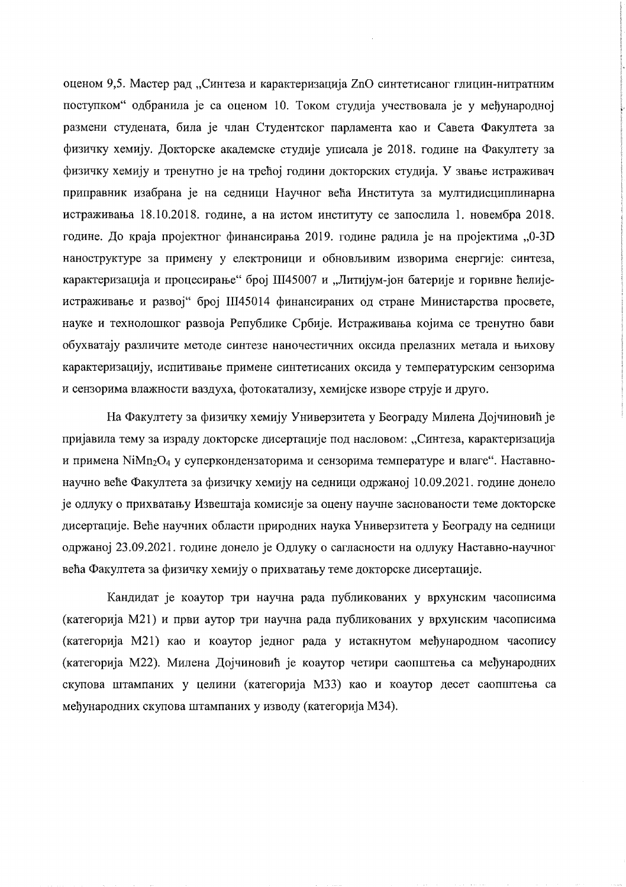оценом 9,5. Мастер рад "Синтеза и карактеризација ZnO синтетисаног глицин-нитратним поступком" одбранила је са оценом 10. Током студија учествовала је у међународној размени студената, била је члан Студентског парламента као и Савета Факултета за физичку хемију. Докторске академске студије уписала је 2018. године на Факултету за физичку хемију и тренутно је на трећој години докторских студија. У звање истраживач приправник изабрана је на седници Научног већа Института за мултидисциплинарна истраживања 18.10.2018. године, а на истом институту се запослила 1. новембра 2018. године. До краја пројектног финансирања 2019. године радила је на пројектима "0-3D наноструктуре за примену у електроници и обновљивим изворима енергије: синтеза, карактеризација и процесирање" број Ш45007 и "Литијум-јон батерије и горивне ћелијеистраживање и развој" број III45014 финансираних од стране Министарства просвете, науке и технолошког развоја Републике Србије. Истраживања којима се тренутно бави обухватају различите методе синтезе наночестичних оксида прелазних метала и њихову карактеризацију, испитивање примене синтетисаних оксила у температурским сензорима и сензорима влажности ваздуха, фотокатализу, хемијске изворе струје и друго.

На Факултету за физичку хемију Универзитета у Београду Милена Дојчиновић је пријавила тему за израду докторске дисертације под насловом: "Синтеза, карактеризација и примена NiMn<sub>2</sub>O<sub>4</sub> у суперкондензаторима и сензорима температуре и влаге". Наставнонаучно веће Факултета за физичку хемију на седници одржаној 10.09.2021. године донело је одлуку о прихватању Извештаја комисије за оцену научне заснованости теме докторске дисертације. Веће научних области природних наука Универзитета у Београду на седници одржаној 23.09.2021. године донело је Одлуку о сагласности на одлуку Наставно-научног већа Факултета за физичку хемију о прихватању теме докторске дисертације.

Кандидат је коаутор три научна рада публикованих у врхунским часописима (категорија М21) и први аутор три научна рада публикованих у врхунским часописима (категорија М21) као и коаутор једног рада у истакнутом међународном часопису (категорија М22). Милена Дојчиновић је коаутор четири саопштења са међународних скупова штампаних у целини (категорија МЗЗ) као и коаутор десет саопштења са међународних скупова штампаних у изводу (категорија МЗ4).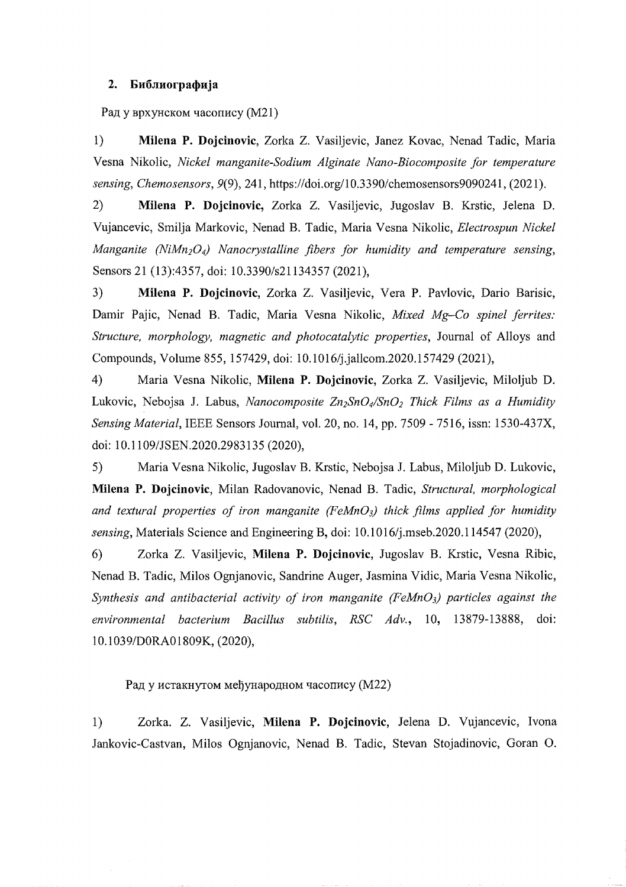### 2. Библиографија

Рад у врхунском часопису (M21)

1) **Milena P. Dojcinovic,** Zorka Z. Vasiljevic, Janez Kovac, Nenad Tadic, Maria Vesna Nikolic, *Nickel manganite-Sodium Alginate Nano-Biocomposite for temperature sensing, Chemosensors,* 9(9), 241, https:lldoi.org/10.3390/chemosensors9090241, (2021).

2) **Milena P. Dojcinovic,** Zorka Z. Vasiljevic, Jugoslav B. Krstic, Je1ena D. Vujancevic, Smilja Markovic, Nenad B. Tadic, Maria Vesna Nikolic, *Electrospun Nickel Manganite (NiMn<sub>2</sub>O<sub>4</sub>) Nanocrystalline fibers for humidity and temperature sensing,* Sensors 21 (13):4357, doi: 10.3390/s21134357 (2021),

3) **Milena P. Dojcinovic,** Zorka Z. Vasiljevic, Vera P. Pavlovic, Dario Barisic, Damir Pajic, Nenad B. Tadic, Maria Vesna Nikolic, *Mixed Mg-Co spinel ferrites: Structure, morphology, magnetic and photocatalytic properties,* Journal of Alloys and Compounds, Volume 855, 157429, doi: 1O.1016/j.jallcom.2020.157429 (2021),

4) Maria Vesna Nikolic, **Milena P. Dojcinovic,** Zorka Z. Vasiljevic, Miloljub D. Lukovic, Nebojsa J. Labus, *Nanocomposite Zn<sub>2</sub>SnO<sub>4</sub>/SnO<sub>2</sub> Thick Films as a Humidity Sensing Material,* IEEE Sensors Journal, vol. 20, no. 14, pp. 7509 - 7516, issn: 1530-437X, doi: 10.1109/JSEN.2020.2983135 (2020),

5) Maria Vesna Nikolic, Jugoslav B. Krstic, Nebojsa J. Labus, Miloljub D. Lukovic, **Milena P. Dojcinovic,** Milan Radovanovic, Nenad B. Tadic, *Structural, morphological* and textural properties of iron manganite (FeMnO<sub>3</sub>) thick films applied for humidity *sensing,* Materials Science and Engineering B, doi: 1O.1016/j.mseb.2020.114547 (2020),

6) Zorka Z. Vasiljevic, **Milena P. Dojcinovic,** Jugoslav B. Krstic, Vesna Ribic, Nenad B. Tadic, Milos Ognjanovic, Sandrine Auger, Jasmina Vidic, Maria Vesna Nikolic, *Synthesis and antibacterial activity of iron manganite (FeMn03) particles against the environmental bacterium Bacillus subtilis, RSC Adv.,* 10, 13879-13888, doi: 10.1 039/DORAO 1809K, (2020),

Рад у истакнутом међународном часопису (М22)

1) Zorka. Z. Vasiljevic, **Milena P. Dojcinovic,** Jelena D. Vujancevic, Ivona Jankovic-Castvan, Milos Ognjanovic, Nenad B. Tadic, Stevan Stojadinovic, Goran O.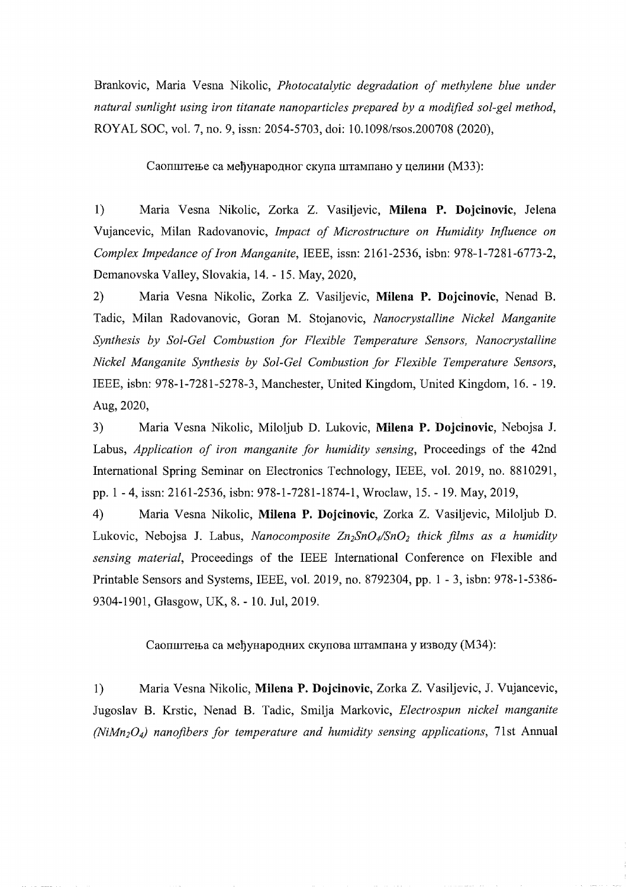Brankovic, Maria Vesna Nikolic, *Photocatalytic degradation of methylene blue under natural sunlight using iron titanate nanoparticles prepared by a modified sol-gel method,*  ROYAL SOC, vol. 7, no. 9, issn: 2054-5703, doi: 1O.1098/rsos.200708 (2020),

Саопштење са међународног скупа штампано у целини (М33):

1) Maria Vesna Nikolic, Zorka Z. Vasiljevic, **Milena P. Dojcinovic,** Jelena Vujancevic, Milan Radovanovic, *Impact of Microstructure on Humidity Influence on Complex Impedance ofIron Manganite,* IEEE, issn: 2161-2536, isbn: 978-1-7281-6773-2, Demanovska Valley, Slovakia, 14. - 15. May, 2020,

2) Maria Vesna Nikolic, Zorka Z. Vasiljevic, **Milena P. Dojcinovic,** Nenad B. Tadic, Milan Radovanovic, Goran M. Stojanovic, *Nanocrystalline Nickel Manganite Synthesis by Sol-Gel Combustion for Flexible Temperature Sensors, Nanocrystalline Nickel Manganite Synthesis by Sol-Gel Combustion for Flexible Temperature Sensors,*  IEEE, isbn: 978-1-7281-5278-3, Manchester, United Kingdom, United Kingdom, 16. - 19. Aug, 2020,

3) Maria Vesna Nikolic, Miloljub D. Lukovic, **Milena P. Dojcinovic,** Nebojsa J. Labus, *Application of iron manganite for humidity sensing,* Proceedings of the 42nd International Spring Seminar on Electronics Technology, IEEE, vol. 2019, no. 8810291, pp. 1 - 4, issn: 2161-2536, isbn: 978-1-7281-1874-1, Wroclaw, 15. - 19. May, 2019,

4) Maria Vesna Nikolic, **Milena P. Dojcinovic,** Zorka Z. Vasiljevic, Miloljub D. Lukovic, Nebojsa J. Labus, *Nanocomposite Zn<sub>2</sub>SnO<sub>4</sub>/SnO<sub>2</sub> thick films as a humidity sensing material,* Proceedings of the IEEE International Conference on Flexible and Printable Sensors and Systems, IEEE, voL 2019, no. 8792304, pp. 1 - 3, isbn: 978-1-5386 9304-1901, Glasgow, UK, 8. - 10. Jul, 2019.

Саопштења са међународних скупова штампана у изводу (М34):

1) Maria Vesna Nikolic, **Milena P. Dojcinovic,** Zorka Z. Vasiljevic, J. Vujancevic, Jugoslav B. Krstic, Nenad B. Tadic, Smilja Markovic, *Electrospun nickel manganite (NiMn204) nanofibers for temperature and humidity sensing applications,* 71st Annual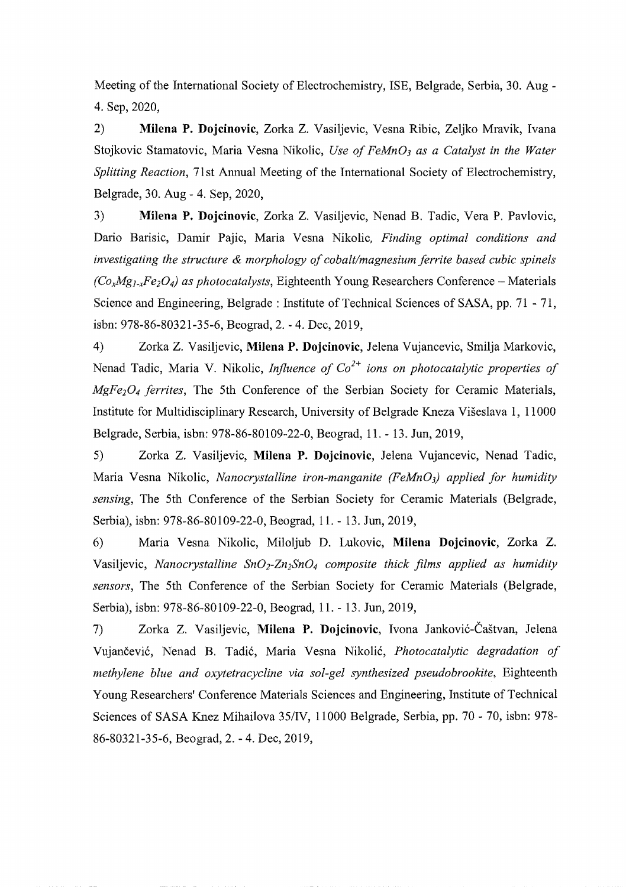Meeting of the International Society of Electrochemistry, ISE, Belgrade, Serbia, 30. Aug 4. Sep, 2020,

2) **Milena P. Dojcinovic,** Zorka Z. Vasiljevic, Vesna Ribic, Zeljko Mravik, Ivana Stojkovic Stamatovic, Maria Vesna Nikolic, *Use of FeMn03 as a Catalyst in the Water Splitting Reaction, 71st Annual Meeting of the International Society of Electrochemistry,* Belgrade, 30. Aug - 4. Sep, 2020,

3) **Milena P. Dojcinovic,** Zorka Z. Vasiljevic, Nenad B. Tadic, Vera P. Pavlovic, Dario Barisic, Damir Pajic, Maria Vesna Nikolic, *Finding optimal conditions and investigating the structure* & *morphology ofcobalt/magnesium ferrite based cubic spinels*   $(C_{\alpha}Mg_{1,x}Fe_2O_4)$  as photocatalysts, Eighteenth Young Researchers Conference – Materials Science and Engineering, Belgrade: Institute of Technical Sciences of SASA, pp. 71 - 71, isbn: 978-86-80321-35-6, Beograd, 2. - 4. Dec, 2019,

4) Zorka Z. Vasiljevic, **Milena P. Dojcinovic,** Jelena Vujancevic, Smilja Markovic, Nenad Tadic, Maria V. Nikolic, *Influence of C0<sup>2</sup>* <sup>+</sup>*ions on photocatalytic properties of MgFe204 ferrites,* The 5th Conference of the Serbian Society for Ceramic Materials, Institute for Multidisciplinary Research, University of Belgrade Kneza Viseslava 1, 11000 Belgrade, Serbia, isbn: 978-86-80109-22-0, Beograd, 11. - 13. Jun, 2019,

5) Zorka Z. Vasiljevic, **Milena P. Dojcinovic,** Jelena Vujancevic, Nenad Tadic, Maria Vesna Nikolic, *Nanocrystalline iron-manganite (FeMn03) applied for humidity sensing,* The 5th Conference of the Serbian Society for Ceramic Materials (Belgrade, Serbia), isbn: 978-86-80109-22-0, Beograd, 11. - 13. Jun, 2019,

6) Maria Vesna Nikolic, Miloljub D. Lukovic, **Milena Dojcinovic,** Zorka Z. Vasiljevic, *Nanocrystalline SnO<sub>2</sub>-Zn<sub>2</sub>SnO<sub>4</sub> composite thick films applied as humidity sensors,* The 5th Conference of the Serbian Society for Ceramic Materials (Belgrade, Serbia), isbn: 978-86-80109-22-0, Beograd, 11. - 13. Jun, 2019,

7) Zorka Z. Vasiljevic, **Milena P. Dojcinovic,** Ivona Jankovic-Castvan, Jelena Vujančević, Nenad B. Tadić, Maria Vesna Nikolić, *Photocatalytic degradation of methylene blue and oxytetracycline via sol-gel synthesized pseudobrookite,* Eighteenth Young Researchers' Conference Materials Sciences and Engineering, Institute of Technical Sciences of SASA Knez Mihailova 35/IV, 11000 Belgrade, Serbia, pp. 70 - 70, isbn: 978-86-80321-35-6, Beograd, 2. - 4. Dec, 2019,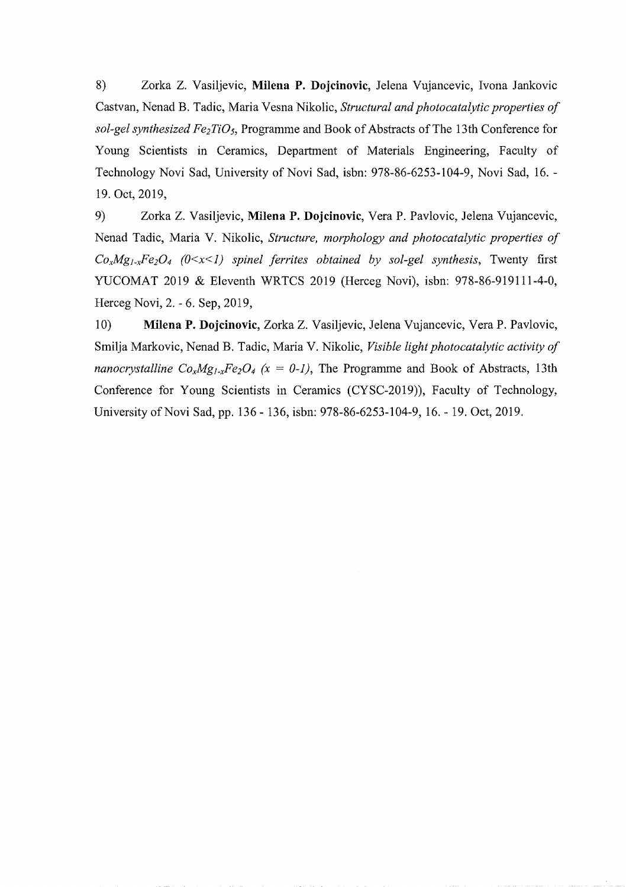8) Zorka Z. Vasiljevic, Milena P. Dojcinovic, Jelena Vujancevic, Ivona Jankovic Castvan, Nenad B. Tadic, Maria Vesna Nikolic, *Structural and photocatalytic properties of sol-gel synthesized Fe<sub>2</sub>TiO<sub>5</sub>*, Programme and Book of Abstracts of The 13th Conference for Young Scientists in Ceramics, Department of Materials Engineering, Faculty of Technology Novi Sad, University of Novi Sad, isbn: 978-86-6253-104-9, Novi Sad, 16. 19. Oct, 2019,

9) Zorka Z. Vasiljevic, **Milena P. Dojcinovic,** Vera P. Pavlovic, Je1ena Vujancevic, Nenad Tadic, Maria V. Nikolic, *Structure, morphology and photocatalytic properties of*  $Co_xMg_xFe_2O_4$  ( $0\leq x\leq 1$ ) spinel ferrites obtained by sol-gel synthesis, Twenty first YUCOMAT 2019 & Eleventh WRTCS 2019 (Herceg Novi), isbn: 978-86-919111-4-0, Herceg Novi, 2. - 6. Sep, 2019,

10) **Milena P. Dojcinovic**, Zorka Z. Vasiljevic, Jelena Vujancevic, Vera P. Pavlovic, Smilja Markovic, Nenad B. Tadic, Maria V. Nikolic, *Visible light photocatalytic activity of nanocrystalline*  $Co_xMg_xFe_2O_4$  *(x = 0-1)*, The Programme and Book of Abstracts, 13th Conference for Young Scientists in Ceramics (CYSC-2019)), Faculty of Technology, University of Novi Sad, pp. 136 - 136, isbn: 978-86-6253-104-9, 16. - 19. Oct, 2019.